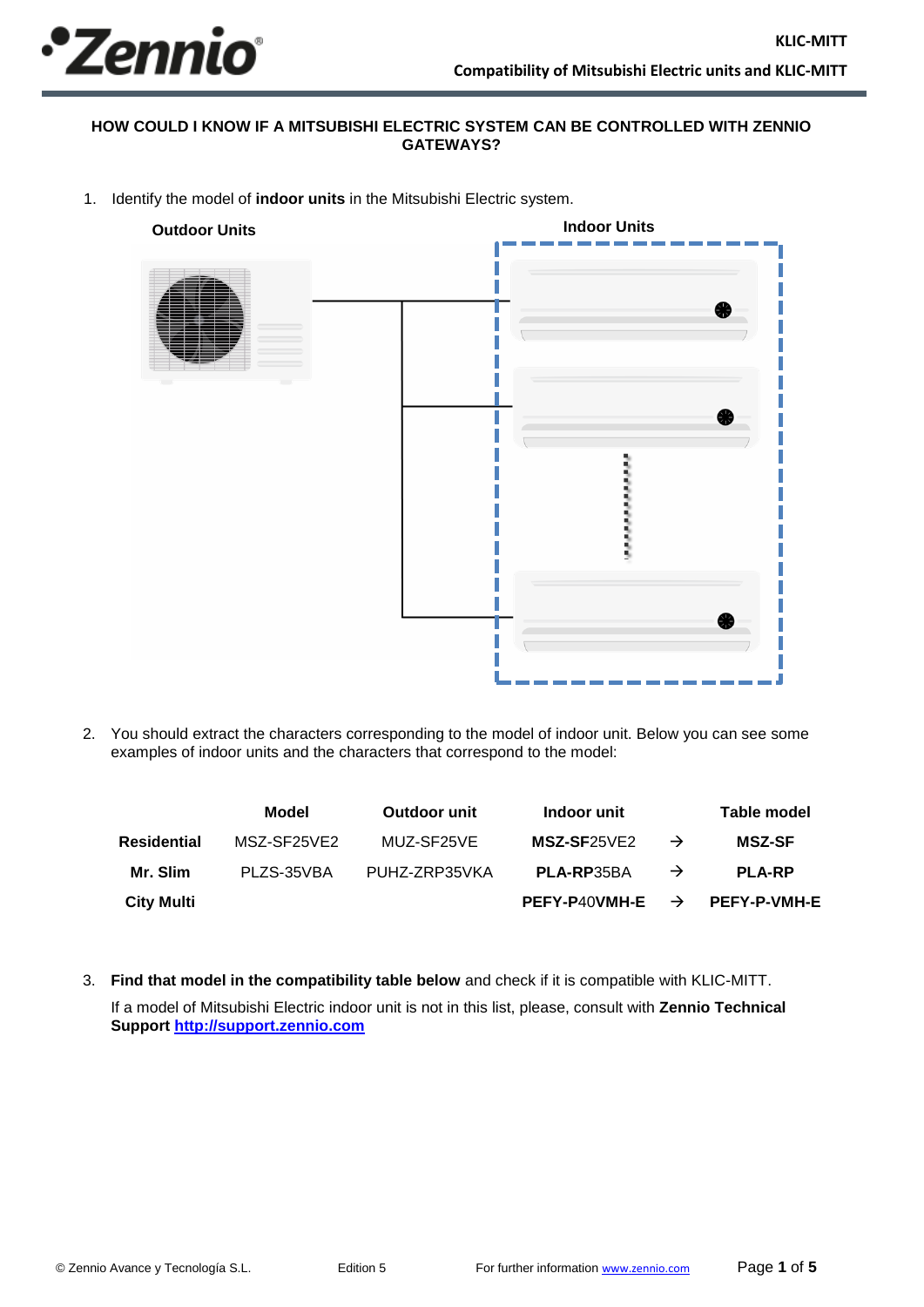

## **HOW COULD I KNOW IF A MITSUBISHI ELECTRIC SYSTEM CAN BE CONTROLLED WITH ZENNIO GATEWAYS?**

1. Identify the model of **indoor units** in the Mitsubishi Electric system.



2. You should extract the characters corresponding to the model of indoor unit. Below you can see some examples of indoor units and the characters that correspond to the model:

|                   | Model       | Outdoor unit  | Indoor unit                        |               | Table model         |
|-------------------|-------------|---------------|------------------------------------|---------------|---------------------|
| Residential       | MSZ-SF25VE2 | MUZ-SF25VE    | MSZ-SF25VE2                        | $\rightarrow$ | <b>MSZ-SF</b>       |
| Mr. Slim          | PLZS-35VBA  | PUHZ-ZRP35VKA | PLA-RP35BA                         | $\rightarrow$ | <b>PLA-RP</b>       |
| <b>City Multi</b> |             |               | <b>PEFY-P40VMH-E</b> $\rightarrow$ |               | <b>PEFY-P-VMH-E</b> |

3. **Find that model in the compatibility table below** and check if it is compatible with KLIC-MITT. If a model of Mitsubishi Electric indoor unit is not in this list, please, consult with **Zennio Technical Support [http://support.zennio.com](http://support.zennio.com/)**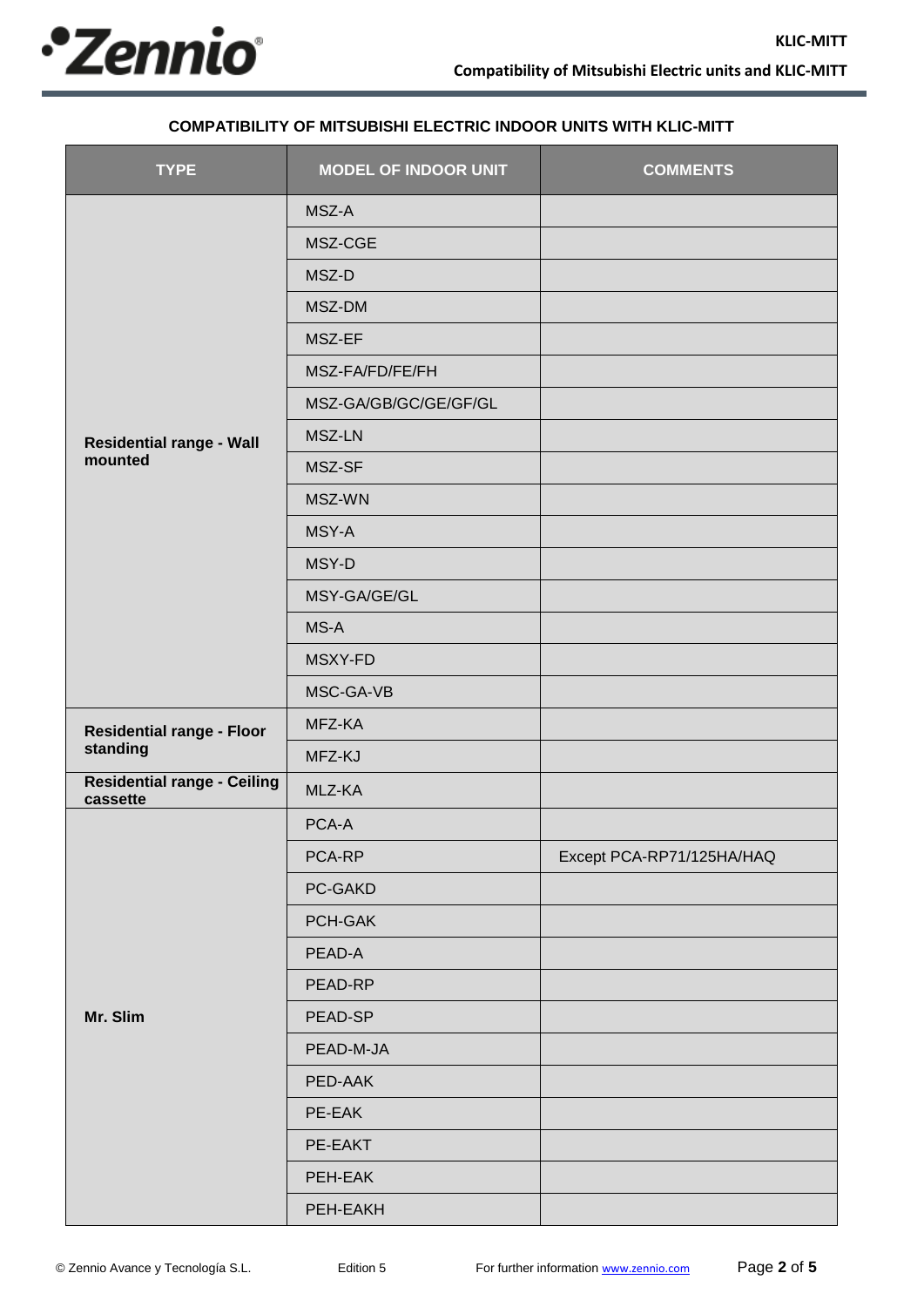

## **COMPATIBILITY OF MITSUBISHI ELECTRIC INDOOR UNITS WITH KLIC-MITT**

| <b>TYPE</b>                                    | <b>MODEL OF INDOOR UNIT</b> | <b>COMMENTS</b>           |
|------------------------------------------------|-----------------------------|---------------------------|
|                                                | MSZ-A                       |                           |
|                                                | MSZ-CGE                     |                           |
|                                                | MSZ-D                       |                           |
|                                                | MSZ-DM                      |                           |
|                                                | MSZ-EF                      |                           |
|                                                | MSZ-FA/FD/FE/FH             |                           |
|                                                | MSZ-GA/GB/GC/GE/GF/GL       |                           |
| <b>Residential range - Wall</b>                | MSZ-LN                      |                           |
| mounted                                        | MSZ-SF                      |                           |
|                                                | MSZ-WN                      |                           |
|                                                | MSY-A                       |                           |
|                                                | MSY-D                       |                           |
|                                                | MSY-GA/GE/GL                |                           |
|                                                | MS-A                        |                           |
|                                                | MSXY-FD                     |                           |
|                                                | MSC-GA-VB                   |                           |
| <b>Residential range - Floor</b>               | MFZ-KA                      |                           |
| standing                                       | MFZ-KJ                      |                           |
| <b>Residential range - Ceiling</b><br>cassette | MLZ-KA                      |                           |
|                                                | PCA-A                       |                           |
|                                                | PCA-RP                      | Except PCA-RP71/125HA/HAQ |
|                                                | PC-GAKD                     |                           |
|                                                | PCH-GAK                     |                           |
|                                                | PEAD-A                      |                           |
|                                                | PEAD-RP                     |                           |
| Mr. Slim                                       | PEAD-SP                     |                           |
|                                                | PEAD-M-JA                   |                           |
|                                                | PED-AAK                     |                           |
|                                                | PE-EAK                      |                           |
|                                                | PE-EAKT                     |                           |
|                                                | PEH-EAK                     |                           |
|                                                | PEH-EAKH                    |                           |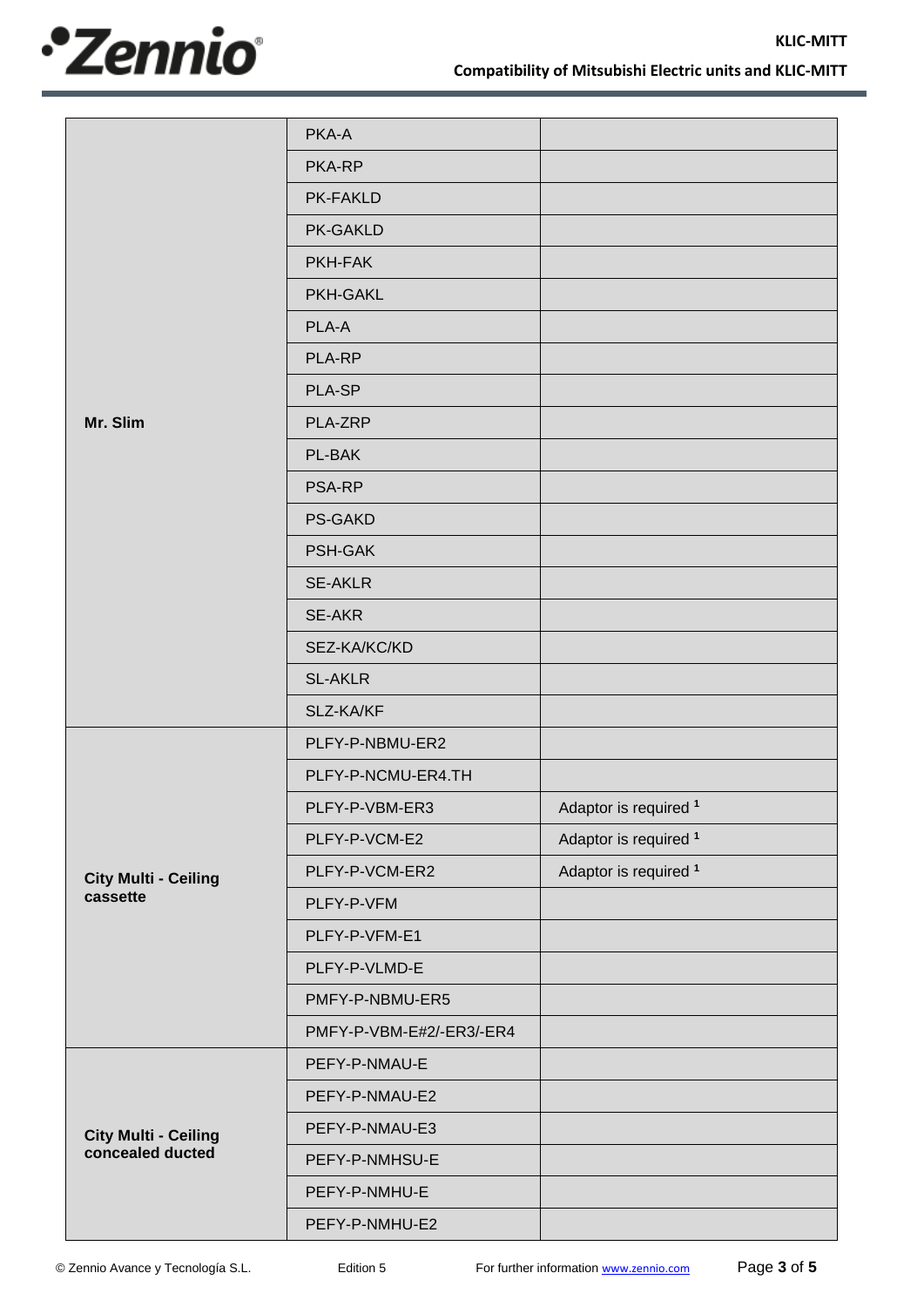

|                             | PKA-A                    |                                  |
|-----------------------------|--------------------------|----------------------------------|
|                             | PKA-RP                   |                                  |
|                             | <b>PK-FAKLD</b>          |                                  |
|                             | <b>PK-GAKLD</b>          |                                  |
|                             | PKH-FAK                  |                                  |
|                             | <b>PKH-GAKL</b>          |                                  |
|                             | PLA-A                    |                                  |
|                             | PLA-RP                   |                                  |
|                             | PLA-SP                   |                                  |
| Mr. Slim                    | PLA-ZRP                  |                                  |
|                             | PL-BAK                   |                                  |
|                             | <b>PSA-RP</b>            |                                  |
|                             | <b>PS-GAKD</b>           |                                  |
|                             | PSH-GAK                  |                                  |
|                             | <b>SE-AKLR</b>           |                                  |
|                             | <b>SE-AKR</b>            |                                  |
|                             | SEZ-KA/KC/KD             |                                  |
|                             | <b>SL-AKLR</b>           |                                  |
|                             | SLZ-KA/KF                |                                  |
|                             | PLFY-P-NBMU-ER2          |                                  |
|                             | PLFY-P-NCMU-ER4.TH       |                                  |
|                             | PLFY-P-VBM-ER3           | Adaptor is required 1            |
|                             | PLFY-P-VCM-E2            | Adaptor is required <sup>1</sup> |
| <b>City Multi - Ceiling</b> | PLFY-P-VCM-ER2           | Adaptor is required 1            |
| cassette                    | PLFY-P-VFM               |                                  |
|                             | PLFY-P-VFM-E1            |                                  |
|                             | PLFY-P-VLMD-E            |                                  |
|                             | PMFY-P-NBMU-ER5          |                                  |
|                             | PMFY-P-VBM-E#2/-ER3/-ER4 |                                  |
|                             | PEFY-P-NMAU-E            |                                  |
|                             | PEFY-P-NMAU-E2           |                                  |
| <b>City Multi - Ceiling</b> | PEFY-P-NMAU-E3           |                                  |
| concealed ducted            | PEFY-P-NMHSU-E           |                                  |
|                             | PEFY-P-NMHU-E            |                                  |
|                             | PEFY-P-NMHU-E2           |                                  |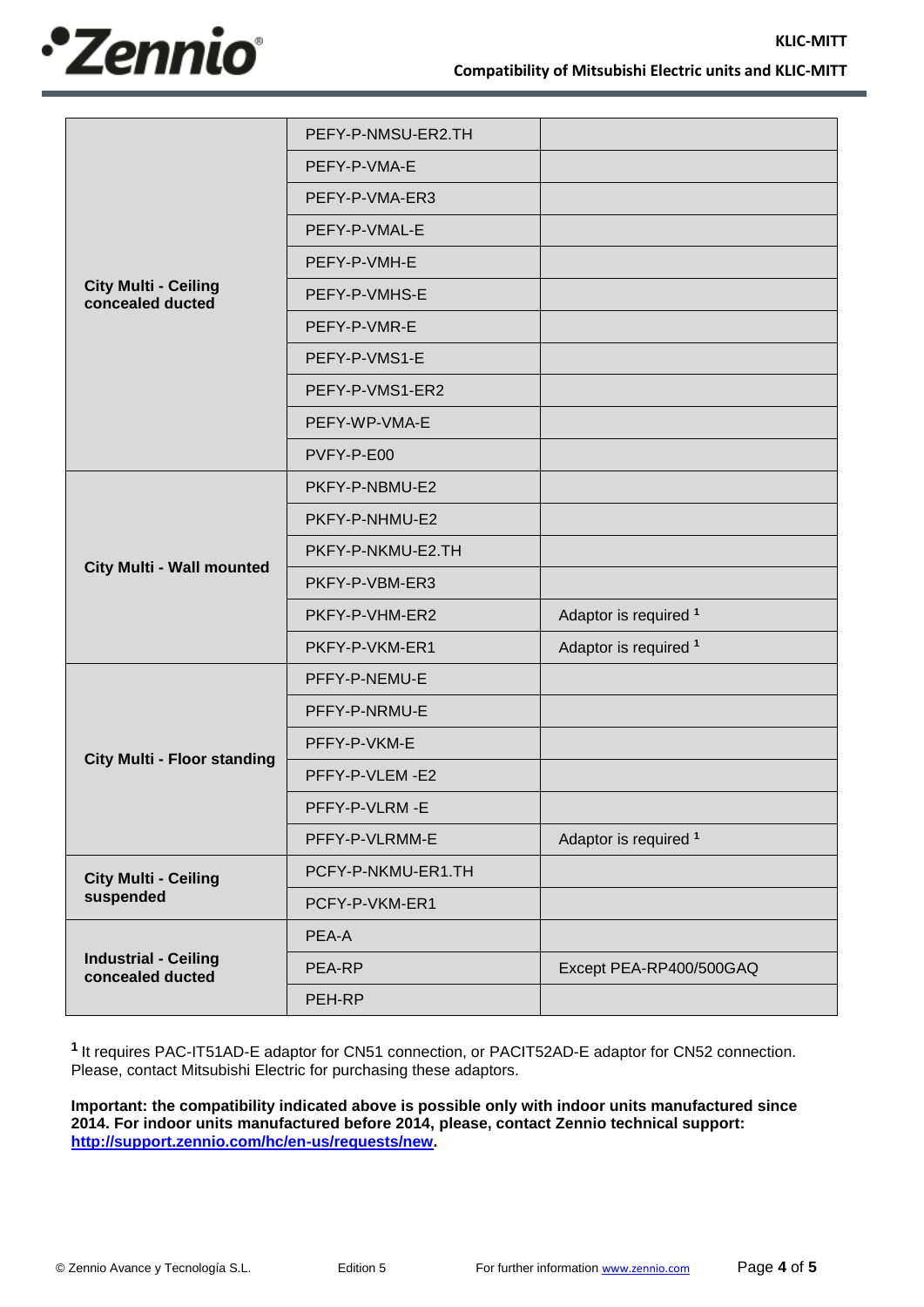

|                                                 | PEFY-P-NMSU-ER2.TH |                         |
|-------------------------------------------------|--------------------|-------------------------|
|                                                 | PEFY-P-VMA-E       |                         |
|                                                 | PEFY-P-VMA-ER3     |                         |
|                                                 | PEFY-P-VMAL-E      |                         |
|                                                 | PEFY-P-VMH-E       |                         |
| <b>City Multi - Ceiling</b><br>concealed ducted | PEFY-P-VMHS-E      |                         |
|                                                 | PEFY-P-VMR-E       |                         |
|                                                 | PEFY-P-VMS1-E      |                         |
|                                                 | PEFY-P-VMS1-ER2    |                         |
|                                                 | PEFY-WP-VMA-E      |                         |
|                                                 | PVFY-P-E00         |                         |
|                                                 | PKFY-P-NBMU-E2     |                         |
|                                                 | PKFY-P-NHMU-E2     |                         |
|                                                 | PKFY-P-NKMU-E2.TH  |                         |
| <b>City Multi - Wall mounted</b>                | PKFY-P-VBM-ER3     |                         |
|                                                 | PKFY-P-VHM-ER2     | Adaptor is required 1   |
|                                                 | PKFY-P-VKM-ER1     | Adaptor is required 1   |
|                                                 | PFFY-P-NEMU-E      |                         |
|                                                 | PFFY-P-NRMU-E      |                         |
|                                                 | PFFY-P-VKM-E       |                         |
| <b>City Multi - Floor standing</b>              | PFFY-P-VLEM-E2     |                         |
|                                                 | PFFY-P-VLRM-E      |                         |
|                                                 | PFFY-P-VLRMM-E     | Adaptor is required 1   |
| <b>City Multi - Ceiling</b>                     | PCFY-P-NKMU-ER1.TH |                         |
| suspended                                       | PCFY-P-VKM-ER1     |                         |
|                                                 | PEA-A              |                         |
| <b>Industrial - Ceiling</b><br>concealed ducted | PEA-RP             | Except PEA-RP400/500GAQ |
|                                                 | PEH-RP             |                         |

**<sup>1</sup>**It requires PAC-IT51AD-E adaptor for CN51 connection, or PACIT52AD-E adaptor for CN52 connection. Please, contact Mitsubishi Electric for purchasing these adaptors.

**Important: the compatibility indicated above is possible only with indoor units manufactured since 2014. For indoor units manufactured before 2014, please, contact Zennio technical support: [http://support.zennio.com/hc/en-us/requests/new.](http://support.zennio.com/hc/en-us/requests/new)**